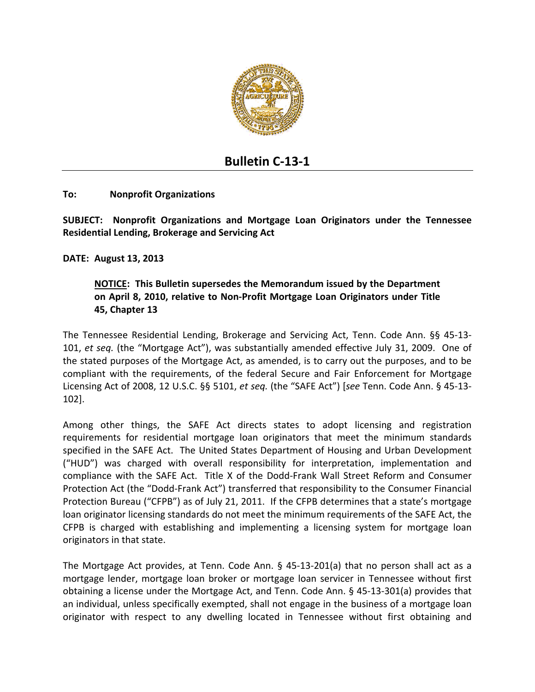

## **Bulletin C‐13‐1**

## **To: Nonprofit Organizations**

**SUBJECT: Nonprofit Organizations and Mortgage Loan Originators under the Tennessee Residential Lending, Brokerage and Servicing Act**

**DATE: August 13, 2013**

## **NOTICE: This Bulletin supersedes the Memorandum issued by the Department on April 8, 2010, relative to Non‐Profit Mortgage Loan Originators under Title 45, Chapter 13**

The Tennessee Residential Lending, Brokerage and Servicing Act, Tenn. Code Ann. §§ 45‐13‐ 101, *et seq.* (the "Mortgage Act"), was substantially amended effective July 31, 2009. One of the stated purposes of the Mortgage Act, as amended, is to carry out the purposes, and to be compliant with the requirements, of the federal Secure and Fair Enforcement for Mortgage Licensing Act of 2008, 12 U.S.C. §§ 5101, *et seq.* (the "SAFE Act") [*see* Tenn. Code Ann. § 45‐13‐ 102].

Among other things, the SAFE Act directs states to adopt licensing and registration requirements for residential mortgage loan originators that meet the minimum standards specified in the SAFE Act. The United States Department of Housing and Urban Development ("HUD") was charged with overall responsibility for interpretation, implementation and compliance with the SAFE Act. Title X of the Dodd-Frank Wall Street Reform and Consumer Protection Act (the "Dodd‐Frank Act") transferred that responsibility to the Consumer Financial Protection Bureau ("CFPB") as of July 21, 2011. If the CFPB determines that a state's mortgage loan originator licensing standards do not meet the minimum requirements of the SAFE Act, the CFPB is charged with establishing and implementing a licensing system for mortgage loan originators in that state.

The Mortgage Act provides, at Tenn. Code Ann. § 45‐13‐201(a) that no person shall act as a mortgage lender, mortgage loan broker or mortgage loan servicer in Tennessee without first obtaining a license under the Mortgage Act, and Tenn. Code Ann. § 45‐13‐301(a) provides that an individual, unless specifically exempted, shall not engage in the business of a mortgage loan originator with respect to any dwelling located in Tennessee without first obtaining and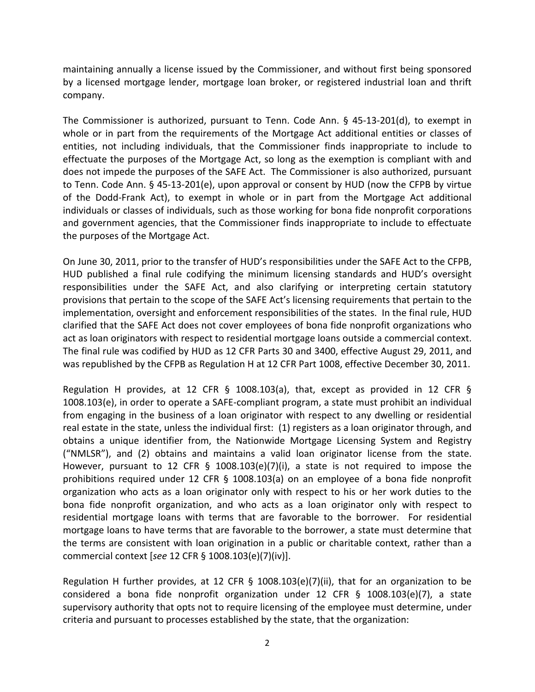maintaining annually a license issued by the Commissioner, and without first being sponsored by a licensed mortgage lender, mortgage loan broker, or registered industrial loan and thrift company.

The Commissioner is authorized, pursuant to Tenn. Code Ann. § 45‐13‐201(d), to exempt in whole or in part from the requirements of the Mortgage Act additional entities or classes of entities, not including individuals, that the Commissioner finds inappropriate to include to effectuate the purposes of the Mortgage Act, so long as the exemption is compliant with and does not impede the purposes of the SAFE Act. The Commissioner is also authorized, pursuant to Tenn. Code Ann. § 45‐13‐201(e), upon approval or consent by HUD (now the CFPB by virtue of the Dodd‐Frank Act), to exempt in whole or in part from the Mortgage Act additional individuals or classes of individuals, such as those working for bona fide nonprofit corporations and government agencies, that the Commissioner finds inappropriate to include to effectuate the purposes of the Mortgage Act.

On June 30, 2011, prior to the transfer of HUD's responsibilities under the SAFE Act to the CFPB, HUD published a final rule codifying the minimum licensing standards and HUD's oversight responsibilities under the SAFE Act, and also clarifying or interpreting certain statutory provisions that pertain to the scope of the SAFE Act's licensing requirements that pertain to the implementation, oversight and enforcement responsibilities of the states. In the final rule, HUD clarified that the SAFE Act does not cover employees of bona fide nonprofit organizations who act as loan originators with respect to residential mortgage loans outside a commercial context. The final rule was codified by HUD as 12 CFR Parts 30 and 3400, effective August 29, 2011, and was republished by the CFPB as Regulation H at 12 CFR Part 1008, effective December 30, 2011.

Regulation H provides, at 12 CFR § 1008.103(a), that, except as provided in 12 CFR § 1008.103(e), in order to operate a SAFE‐compliant program, a state must prohibit an individual from engaging in the business of a loan originator with respect to any dwelling or residential real estate in the state, unless the individual first: (1) registers as a loan originator through, and obtains a unique identifier from, the Nationwide Mortgage Licensing System and Registry ("NMLSR"), and (2) obtains and maintains a valid loan originator license from the state. However, pursuant to 12 CFR § 1008.103(e)(7)(i), a state is not required to impose the prohibitions required under 12 CFR § 1008.103(a) on an employee of a bona fide nonprofit organization who acts as a loan originator only with respect to his or her work duties to the bona fide nonprofit organization, and who acts as a loan originator only with respect to residential mortgage loans with terms that are favorable to the borrower. For residential mortgage loans to have terms that are favorable to the borrower, a state must determine that the terms are consistent with loan origination in a public or charitable context, rather than a commercial context [*see* 12 CFR § 1008.103(e)(7)(iv)].

Regulation H further provides, at 12 CFR § 1008.103(e)(7)(ii), that for an organization to be considered a bona fide nonprofit organization under 12 CFR § 1008.103(e)(7), a state supervisory authority that opts not to require licensing of the employee must determine, under criteria and pursuant to processes established by the state, that the organization: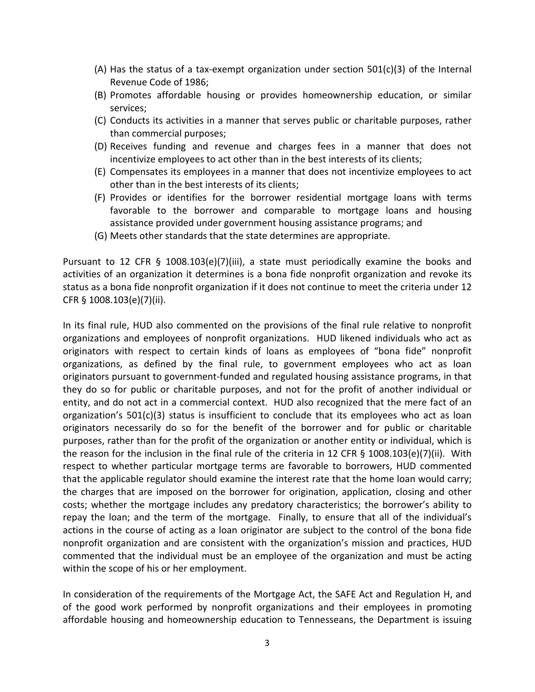- (A) Has the status of a tax-exempt organization under section  $501(c)(3)$  of the Internal Revenue Code of 1986;
- (B) Promotes affordable housing or provides homeownership education, or similar services;
- (C) Conducts its activities in a manner that serves public or charitable purposes, rather than commercial purposes;
- (D) Receives funding and revenue and charges fees in a manner that does not incentivize employees to act other than in the best interests of its clients;
- (E) Compensates its employees in a manner that does not incentivize employees to act other than in the best interests of its clients;
- (F) Provides or identifies for the borrower residential mortgage loans with terms favorable to the borrower and comparable to mortgage loans and housing assistance provided under government housing assistance programs; and
- (G) Meets other standards that the state determines are appropriate.

Pursuant to 12 CFR § 1008.103(e)(7)(iii), a state must periodically examine the books and activities of an organization it determines is a bona fide nonprofit organization and revoke its status as a bona fide nonprofit organization if it does not continue to meet the criteria under 12 CFR § 1008.103(e)(7)(ii).

In its final rule, HUD also commented on the provisions of the final rule relative to nonprofit organizations and employees of nonprofit organizations. HUD likened individuals who act as originators with respect to certain kinds of loans as employees of "bona fide" nonprofit organizations, as defined by the final rule, to government employees who act as loan originators pursuant to government‐funded and regulated housing assistance programs, in that they do so for public or charitable purposes, and not for the profit of another individual or entity, and do not act in a commercial context. HUD also recognized that the mere fact of an organization's 501(c)(3) status is insufficient to conclude that its employees who act as loan originators necessarily do so for the benefit of the borrower and for public or charitable purposes, rather than for the profit of the organization or another entity or individual, which is the reason for the inclusion in the final rule of the criteria in 12 CFR § 1008.103(e)(7)(ii). With respect to whether particular mortgage terms are favorable to borrowers, HUD commented that the applicable regulator should examine the interest rate that the home loan would carry; the charges that are imposed on the borrower for origination, application, closing and other costs; whether the mortgage includes any predatory characteristics; the borrower's ability to repay the loan; and the term of the mortgage. Finally, to ensure that all of the individual's actions in the course of acting as a loan originator are subject to the control of the bona fide nonprofit organization and are consistent with the organization's mission and practices, HUD commented that the individual must be an employee of the organization and must be acting within the scope of his or her employment.

In consideration of the requirements of the Mortgage Act, the SAFE Act and Regulation H, and of the good work performed by nonprofit organizations and their employees in promoting affordable housing and homeownership education to Tennesseans, the Department is issuing